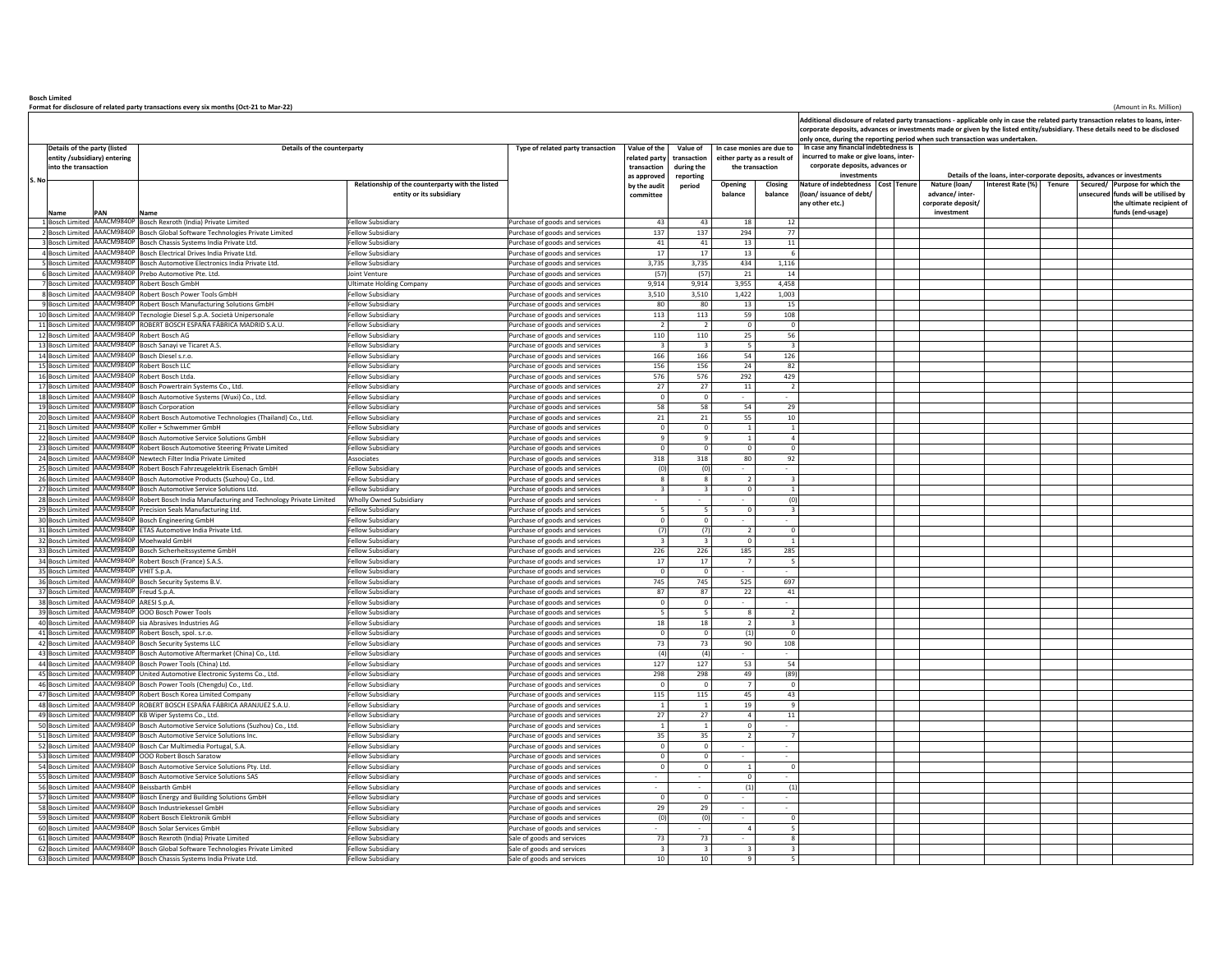**Bosch LimitedFormat for disclosure of related party transactions every six months (Oct-21 to Mar-22)** (Amount in Rs. Million)

**Name PAN Name**d AAACM9840P Bosch Rexroth (India) Private Limited Fellow Subsidiary Purchase of goods and services 43 43 18 12 **Relationship of the counterparty with the listed entity or its subsidiary Opening balanceClosing balanceNature of indebtedness (loan/ issuance of debt/ any other etc.) Nature** (loan/ **advance/ intercorporate deposit/ investmentInterest Rate (%) Tenure Secured/ unsecuredPurpose for which the funds will be utilised by the ultimate recipient of funds (end-usage)** osch Limited 2 Bosch Limited AAACM9840P Bosch Global Software Technologies Private Limited Fellow Subsidiary Purchase of goods and services 137 137 294 77 sch Limite AAACM9840P Bosch Chassis Systems India Private Ltd. Fellow Subsidiary Purchase of goods and services 41 41 41 13 11 sch Limited AAACM9840P Bosch Electrical Drives India Private Ltd. Fellow Subsidiary Purchase of goods and services 17 17 13 5 Bosch LimitedAAACM9840P Bosch Automotive Electronics India Private Ltd. Fellow Subsidiary Purchase of goods and services 3,735 3,735 434 1,116 osch Limited AACM9840P Prebo Automotive Pte. Ltd. **Depression Container Containers and Service** Purchase of goods and services (57) (57) 21 14 7 Bosch Limited AAACM9840P Robert Bosch GmbH Ultimate Holding Company Purchase of goods and services 9,914 9,914 3,955 4,458 8 Bosch Limited AAACM9840P Robert Bosch Power Tools GmbH Fellow Subsidiary Purchase of goods and services 3,510 3,510 1,422 1,003 ch Limited AAACM9840P Robert Bosch Manufacturing Solutions GmbH Fellow Subsidiary Purchase of goods and services 80 80 13 15<br>AAACM9840P Tecnologie Diesel S.p.A. Società Unipersonale Fellow Subsidiary Purchase of goods and services 11 10 Bosch LimitedA<br>Abandogie Diesel S.p.A. Società Unipersonale **Fellow Subsidiary Purchase of goods and services** 113 113 113 11 Bosch Limited AAACM9840P ROBERT BOSCH ESPAÑA FÁBRICA MADRID S.A.U. Fellow Subsidiary Purchase of goods and services 2 2 0 0 12 Bosch LimitedAAACM9840P Robert Bosch AG 25 56<br>AAACM9840P Robert Bosch Sanavi ve Ticaret A.S. Purchase of Fellow Subsidiary Purchase of goods and services 3 3 3 5 3 13 Bosch LimitedAAACM9840P Bosch Sanayi ve Ticaret A.S. Fellow Subsidiary Publishing Development of the purchase of goods and services and the services of the services of the services of the services of the services of the services of the 14 Bosch LimitedBosch Diesel s.r.o. **AACCM9840** Bosch Diesel s.r.o. Fellow Subsidiary **Purchase of goods and services** 166 166 54 126 126 15 Bosch Limited AAACM9840P Robert Bosch LLC Fellow Subsidiary Purchase of goods and services 156 156 24 82 16 Bosch LimitedAAACM9840P Robert Bosch Ltda. The Contract Contract Contract Contract Contract Contract Contract Contract Contract Contract Contract Contract Contract Contract Contract Contract Contract Contract Contract Contract Contract 17 Bosch LimitedAAACM9840P Bosch Powertrain Systems Co., Ltd. Fellow Subsidiary Purchase of goods and services 27 27 27 11 27 11 27 11 27 11 27 11 27 11 27 11 27 11 27 11 27 11 27 11 27 11 27 11 27 11 27 11 27 11 27 11 27 11 27 11 27 11 2 18 Bosch Limited AAACM9840P Bosch Automotive Systems (Wuxi) Co., Ltd. Fellow Subsidiary Purchase of goods and services 0 0 - - 19 Bosch LimitedRosch Corporation Fellow Subsidiary Purchase of goods and services 58 58 54 54 29 20 Bosch Limited AAACM9840P Robert Bosch Automotive Technologies (Thailand) Co., Ltd. Fellow Subsidiary Purchase of goods and services 21 21 21 55 10 21 Bosch Limited AAACM9840P Koller + Schwemmer GmbH Fellow Subsidiary Purchase of goods and services (Camp of the Disk of the Disk of the Disk of the Disk of the Disk of the Disk of the Disk of the Disk of the Disk of the 22 Bosch LimitedAAACM9840P Bosch Automotive Service Solutions GmbH Fellow Subsidiary Purchase of goods and services 9 9 9 1 1 4 23 Bosch Limited AAACM9840P Robert Bosch Automotive Steering Private Limited Fellow Subsidiary Purchase of goods and services 0 0 0 0 24 Bosch LimitedNewtech Filter India Private Limited **ASsociates** Associates **Associates** Purchase of goods and services 318 318 80 92 25 Bosch Limite AAACM9840P Robert Bosch Fahrzeugelektrik Eisenach GmbH Fellow Subsidiary Purchase of goods and services (0) (0) - - 26 Bosch LimitedAAACM9840P Bosch Automotive Products (Suzhou) Co., Ltd. Fellow Subsidiary Purchase of goods and services 8 8 3 2 27 Bosch LimitedAACM9840P Bosch Automotive Service Solutions Ltd. **Fellow Subsidiary Purchase of goods and services** 3 3 0 1 1 28 Bosch LimitedAAACM9840P Robert Bosch India Manufacturing and Technology Private Limited Wholly Owned Subsidiary Purchase of goods and services - - - - - (0)<br>A AACM9840P Roceiving Subsidiate Manufacturing Hall Subsidiary Purchase of goo 29 Bosch LimitedPrecision Seals Manufacturing Ltd. **Fellow Subsidiary Purchase of goods and services** 5 5 3 3 0 3 3 3 3 3 3 3 3 3 3 3 3 3 3 4 3 3 4 3 3 4 3 4 3 4 3 4 3 4 3 4 3 4 3 4 3 4 3 4 3 4 3 4 3 4 3 4 3 4 3 4 3 4 3 4 3 4 3 4 3 4 3 4 30 Bosch LimitedAAACM9840P Bosch Engineering GmbH **Fellow Subsidiary** Fellow Subsidiary Purchase of goods and services of goods and services of goods and services of goods and services of goods and services of purchase of proofs and servi 31 Bosch LimitedAAACM9840P ETAS Automotive India Private Ltd. Fellow Subsidiary **Purchase of goods and services** (7) (7) 2 0 32 Bosch Limited AAACM9840P |Moehwald GmbH Fellow Subsidiary Fellow Subsidiary Purchase of goods and services | 3 3 | 0 | 1 33 Bosch LimitedAAACM9840P Bosch Sicherheitssysteme GmbH Fellow Subsidiary Fellow Subsidiary Purchase of goods and services 226 226 226 285 285 34 Bosch Limite AAACM9840P Robert Bosch (France) S.A.S. Fellow Subsidiary Purchase of goods and services 17 17 7 5 35 Bosch LimitedAccession of the CHI Services of the CHI Services of goods and services of goods and services of goods and services of goods and services of goods and services of goods and services of goods and services of goods and servi 36 Bosch LimitedAACM9840P Bosch Security Systems B.V. Fellow Subsidiary **Purchase of goods and services** 745 745 525 697 697 37 Bosch LimitedAAACM9840P Freud S.p.A. Fellow Subsidiary Fellow Subsidiary Purchase of goods and services and services 87 87 87 22 41 38 Bosch LimitedAAACM9840P ARESI S.p.A.<br>AAACM9840P ARESI S.p.A. Fellow Subsidiary Purchase of goods and services of goods and services of good sad context and services of goods and services of goods and services of goods and services of g 39 Bosch Lim AACM9840P OOO Bosch Power Tools Fellow Subsidiary Purchase of goods and services 5 5 5 2 2 2 2 2 2 2 2 2 2 2 2<br>AACM9840P oo and services and services and services for the services of services for the services for the serv<br> 40 Bosch Limited $\vert$ sia Abrasives Industries AG Fellow Subsidiary **Fellow Subsidiary Purchase of goods and services** 18 18 2 3 41 Bosch LimitedAAACM9840P Robert Bosch, spol. s.r.o. **Fellow Subsidiary Purchase of goods and services** 0 0 0 (1) 0 0 (1) 0 0 (1) 42 Bosch Limited AAACM9840P |Bosch Security Systems LLC Fellow Subsidiary Purchase of goods and services 200 73 73 90 108 43 Bosch Limited AAACM9840P Bosch Automotive Aftermarket (China) Co., Ltd. Fellow Subsidiary Purchase of goods and services (4) (4) - - 44 Bosch LimitedAACM9840P Bosch Power Tools (China) Ltd. Fellow Subsidiary Fellow Subsidiary Purchase of goods and services 127 127 53 54<br>AACM9840P I Inited Automotive Flectronic Systems Co. Ltd. Fellow Subsidiary Purchase of goods and se 45 Bosch Limited AAACM9840P United Automotive Electronic Systems Co., Ltd. Fellow Subsidiary Purchase of goods and services 298 298 49 (89) 46 Bosch Limite AAACM9840P Bosch Power Tools (Chengdu) Co., Ltd. Fellow Subsidiary Purchase of goods and services 0 0 7 0 47 Bosch LimitedAAACM9840P Robert Bosch Korea Limited Company **Fellow Subsidiary Purchase of goods and services** 115 115 45 43 48 Bosch Lin AACM9840P ROBERT BOSCH ESPAÑA FÁBRICA ARANJUEZ S.A.U. Fellow Subsidiary Purchase of goods and services 1 1 1 1 19 9<br>A ACM ROBERT BOSCH ESPAÑA FÁBRICA ARANJUEZ S.A.U. 49 Bosch LimitedRB Wiper Systems Co., Ltd. **Fellow Subsidiary Purchase of goods and services** 27 27 4 11 50 Bosch LimitedAAACM9840P Bosch Automotive Service Solutions (Suzhou) Co., Ltd. Fellow Subsidiary Purchase of goods and services 1 1 1 0 0 51 Bosch Limited AAACM9840P Bosch Automotive Service Solutions Inc. **Fellow Subsidiary Purchase of goods and services** 35 35 35 52 Bosch Limited AAACM9840P Bosch Car Multimedia Portugal, S.A. Fellow Subsidiary Purchase of goods and services 0 0 - - 53 Bosch LimitedAAACM9840P OOO Robert Bosch Saratow **Fellow Subsidiary** Fellow Subsidiary Purchase of goods and services **Purchase of goods and services** Purchase of goods and services of goods and services **Purchase of goods and services** 54 Bosch Limited AAACM9840P Bosch Automotive Service Solutions Pty. Ltd. Fellow Subsidiary Purchase of goods and services 0 0 1 0 55 Bosch Limited AAACM9840P Bosch Automotive Service Solutions SAS Fellow Subsidiary Purchase of goods and services - - 0 - 56 Bosch Limitedeissbarth GmbH Fellow Subsidiary Fellow Subsidiary Purchase of goods and services - - - (1) (1) (1) 57 Bosch LimitedAACM9840P Bosch Energy and Building Solutions GmbH Fellow Subsidiary Purchase of goods and services 0 0 0 0 0 0 58 Bosch Limited AAACM9840P Bosch Industriekessel GmbH Fellow Subsidiary Purchase of goods and services 29 29 - - 59 Bosch LimitedAAACM9840P Robert Bosch Elektronik GmbH **Fellow Subsidiary Purchase of goods and services** (0) (0) (0) (0) 60 Bosch Limited AAACM9840P Bosch Solar Services GmbH Fellow Subsidiary Purchase of goods and services - - 4 5 61 Bosch LimitedResch Rexroth (India) Private Limited Fellow Subsidiary Fellow Subsidiary Sale of goods and services 2008 73 73 - 8 62 Bosch Limited AAACM9840P |Bosch Global Software Technologies Private Limited Fellow Subsidiary Sale State of goods and services | 3 3 3 3 3 3 3 **In case monies are due to either party as a result of the transactionAdditional disclosure of related party transactions - applicable only in case the related party transaction relates to loans, intercorporate deposits, advances or investments made or given by the listed entity/subsidiary. These details need to be disclosed only once, during the reporting period when such transaction was undertaken. In case any financial indebtedness is incurred to make or give loans, inter corporate deposits, advances or investments Details of the loans, inter-corporate deposits, advances or investments Type of related party transaction Value of the related party transaction** as approve **by the audit committeeValue of transaction during the reporting period Details of the party (listed entity /subsidiary) entering into the transactionDetails of the counterparty**

63 Bosch Limited AAACM9840P Bosch Chassis Systems India Private Ltd. Fellow Subsidiary Sale of goods and services 10 10 9 5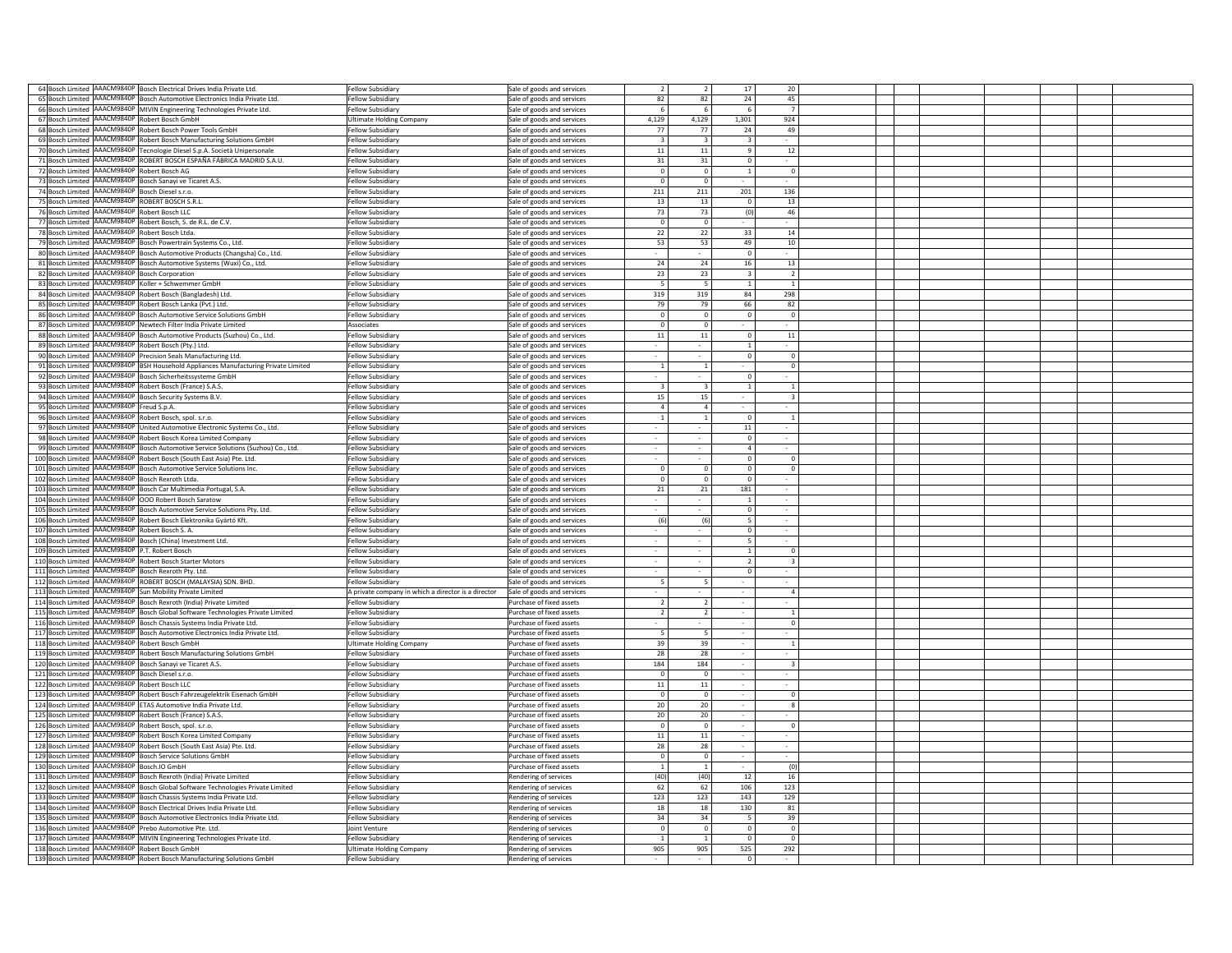|    |                                                              | 64 Bosch Limited AAACM9840P Bosch Electrical Drives India Private Ltd.                      | <b>Fellow Subsidiary</b>                                    | Sale of goods and services                     |                |                          | 17              | 20                      |  |  |  |
|----|--------------------------------------------------------------|---------------------------------------------------------------------------------------------|-------------------------------------------------------------|------------------------------------------------|----------------|--------------------------|-----------------|-------------------------|--|--|--|
|    |                                                              |                                                                                             |                                                             |                                                |                |                          |                 |                         |  |  |  |
|    |                                                              | 65 Bosch Limited AAACM9840P Bosch Automotive Electronics India Private Ltd.                 | Fellow Subsidiary                                           | ale of goods and services                      | 82             | 82                       | 24              | 45                      |  |  |  |
|    |                                                              | 66 Bosch Limited AAACM9840P MIVIN Engineering Technologies Private Ltd.                     | <b>Fellow Subsidiary</b>                                    | Sale of goods and services                     | -6             | -6                       | 6               | 7                       |  |  |  |
|    | 67 Bosch Limited AAACM9840P Robert Bosch GmbH                |                                                                                             | <b>Ultimate Holding Company</b>                             | Sale of goods and services                     | 4,129          | 4,129                    | 1,301           | 924                     |  |  |  |
|    | 68 Bosch Limited AAACM9840P                                  | Robert Bosch Power Tools GmbH                                                               | Fellow Subsidiary                                           | Sale of goods and services                     | 77             | 77                       | 24              | 49                      |  |  |  |
|    | 69 Bosch Limited AAACM9840P                                  | Robert Bosch Manufacturing Solutions GmbH                                                   | Fellow Subsidiary                                           | Sale of goods and services                     | $\overline{3}$ | $\mathbf{3}$             | $\mathbf{3}$    |                         |  |  |  |
|    | 70 Bosch Limited AAACM9840P                                  | Tecnologie Diesel S.p.A. Società Unipersonale                                               | Fellow Subsidiary                                           | Sale of goods and services                     | 11             | 11                       | $\mathbf{q}$    | 12                      |  |  |  |
|    | 71 Bosch Limited AAACM9840P                                  | ROBERT BOSCH ESPAÑA FÁBRICA MADRID S.A.U.                                                   | Fellow Subsidiary                                           | Sale of goods and services                     | 31             | 31                       | $\Omega$        |                         |  |  |  |
|    | 72 Bosch Limited AAACM9840P                                  | Robert Bosch AG                                                                             | Fellow Subsidiary                                           |                                                | $\Omega$       | $\Omega$                 | $\mathbf{1}$    | $\mathbf 0$             |  |  |  |
|    |                                                              |                                                                                             |                                                             | Sale of goods and services                     |                |                          |                 |                         |  |  |  |
|    | 73 Bosch Limited AAACM9840P                                  | Bosch Sanavi ve Ticaret A.S.                                                                | Fellow Subsidiary                                           | Sale of goods and services                     | $\Omega$       | $\Omega$                 |                 |                         |  |  |  |
|    | 74 Bosch Limited AAACM9840P Bosch Diesel s.r.o.              |                                                                                             | Fellow Subsidiary                                           | Sale of goods and services                     | 211            | 211                      | 201             | 136                     |  |  |  |
|    | 75 Bosch Limited AAACM9840P                                  | ROBERT BOSCH S.R.L                                                                          | Fellow Subsidiary                                           | Sale of goods and services                     | 13             | 13                       | $^{\circ}$      | 13                      |  |  |  |
|    | 76 Bosch Limited AAACM9840P                                  | Robert Bosch LLC                                                                            | <b>Fellow Subsidiary</b>                                    | Sale of goods and services                     | 73             | 73                       | (0)             | 46                      |  |  |  |
|    |                                                              | 77 Bosch Limited AAACM9840P Robert Bosch, S. de R.L. de C.V.                                | Fellow Subsidiary                                           | Sale of goods and services                     | $^{\circ}$     | $\overline{0}$           |                 |                         |  |  |  |
|    | 78 Bosch Limited AAACM9840P Robert Bosch Ltda.               |                                                                                             | <b>Fellow Subsidiary</b>                                    | Sale of goods and services                     | 22             | 22                       | 33              | 14                      |  |  |  |
|    | 79 Bosch Limited AAACM9840P                                  | Bosch Powertrain Systems Co., Ltd.                                                          | Fellow Subsidiary                                           | Sale of goods and services                     | 53             | 53                       | 49              | 10                      |  |  |  |
|    | 80 Bosch Limited AAACM9840P                                  |                                                                                             |                                                             |                                                | $\sim$         |                          | $\Omega$        | $\sim$                  |  |  |  |
|    |                                                              | Bosch Automotive Products (Changsha) Co., Ltd.                                              | Fellow Subsidiary                                           | Sale of goods and services                     |                |                          |                 |                         |  |  |  |
|    | 81 Bosch Limited AAACM9840P                                  | Bosch Automotive Systems (Wuxi) Co., Ltd.                                                   | Fellow Subsidiary                                           | Sale of goods and services                     | 24             | 24                       | 16              | 13                      |  |  |  |
|    | 82 Bosch Limited AAACM9840P                                  | <b>Bosch Corporation</b>                                                                    | <b>Fellow Subsidiary</b>                                    | Sale of goods and services                     | 23             | 23                       | 3               | $\overline{2}$          |  |  |  |
|    | 83 Bosch Limited AAACM9840P                                  | Coller + Schwemmer GmbH                                                                     | Fellow Subsidiary                                           | Sale of goods and services                     | - 5            | - 5                      | 1               | $\overline{1}$          |  |  |  |
|    | 84 Bosch Limited AAACM9840P                                  | Robert Bosch (Bangladesh) Ltd.                                                              | Fellow Subsidiary                                           | Sale of goods and services                     | 319            | 319                      | 84              | 298                     |  |  |  |
|    | 85 Bosch Limited AAACM9840P                                  | Robert Bosch Lanka (Pvt.) Ltd.                                                              | Fellow Subsidiary                                           | Sale of goods and services                     | 79             | 79                       | 66              | 82                      |  |  |  |
|    | AAACM9840P<br>86 Bosch Limited                               | Bosch Automotive Service Solutions GmbH                                                     | Fellow Subsidiary                                           | Sale of goods and services                     | $\Omega$       | $\overline{\mathbf{0}}$  | $\mathbf 0$     | $\circ$                 |  |  |  |
|    | 87 Bosch Limited AAACM9840P                                  | lewtech Filter India Private Limited                                                        | Associates                                                  | Sale of goods and services                     | $\mathbf 0$    | $\overline{0}$           |                 |                         |  |  |  |
|    | 88 Bosch Limited AAACM9840P                                  | Bosch Automotive Products (Suzhou) Co., Ltd.                                                | <b>Fellow Subsidiary</b>                                    | Sale of goods and services                     | $11\,$         | $11\,$                   | $\circ$         | $11\,$                  |  |  |  |
|    |                                                              |                                                                                             |                                                             |                                                |                |                          |                 |                         |  |  |  |
|    | 89 Bosch Limited AAACM9840P                                  | Robert Bosch (Pty.) Ltd.                                                                    | Fellow Subsidiary                                           | Sale of goods and services                     |                |                          | $\mathbf{1}$    |                         |  |  |  |
|    | 90 Bosch Limited AAACM9840P                                  | recision Seals Manufacturing Ltd                                                            | Fellow Subsidiary                                           | Sale of goods and services                     |                |                          | $\mathbf 0$     | $\mathbf 0$             |  |  |  |
| 91 | Bosch Limited AAACM9840P                                     | BSH Household Appliances Manufacturing Private Limited                                      | Fellow Subsidiary                                           | Sale of goods and services                     |                | $\overline{1}$           |                 | $\mathbf 0$             |  |  |  |
|    | 92 Bosch Limited AAACM9840P                                  | Bosch Sicherheitssysteme GmbH                                                               | Fellow Subsidiary                                           | Sale of goods and services                     |                |                          | $\Omega$        |                         |  |  |  |
|    | 93 Bosch Limited AAACM9840P                                  | Robert Bosch (France) S.A.S.                                                                | Fellow Subsidiary                                           | Sale of goods and services                     | $\mathbf{R}$   | $\mathbf{R}$             | 1               | $\mathbf{1}$            |  |  |  |
|    | 94 Bosch Limited AAACM9840P                                  | Bosch Security Systems B.V.                                                                 | Fellow Subsidiary                                           | Sale of goods and services                     | 15             | 15                       |                 | $\overline{\mathbf{3}}$ |  |  |  |
|    | 95 Bosch Limited AAACM9840P                                  | Freud S.p.A.                                                                                | Fellow Subsidiary                                           | Sale of goods and services                     | $\overline{4}$ | $\overline{4}$           |                 | $\sim$                  |  |  |  |
|    | 96 Bosch Limited AAACM9840P                                  | Robert Bosch, spol. s.r.o.                                                                  | Fellow Subsidiary                                           | Sale of goods and services                     | $\overline{1}$ | $\overline{1}$           | $\Omega$        | $\overline{1}$          |  |  |  |
|    | 97 Bosch Limited AAACM9840P                                  | United Automotive Electronic Systems Co., Ltd.                                              | Fellow Subsidiary                                           | Sale of goods and services                     |                |                          | $11\,$          |                         |  |  |  |
|    | 98 Bosch Limited AAACM9840P                                  | Robert Bosch Korea Limited Company                                                          | Fellow Subsidiary                                           | Sale of goods and services                     | ×.             |                          | $\Omega$        |                         |  |  |  |
|    |                                                              |                                                                                             |                                                             |                                                |                |                          |                 |                         |  |  |  |
|    | 99 Bosch Limited AAACM9840P                                  | Bosch Automotive Service Solutions (Suzhou) Co., Ltd.                                       | Fellow Subsidiary                                           | Sale of goods and services                     |                |                          | $\overline{4}$  |                         |  |  |  |
|    | 100 Bosch Limited AAACM9840P                                 | Robert Bosch (South East Asia) Pte. Ltd.                                                    | <b>Fellow Subsidiary</b>                                    | Sale of goods and services                     |                |                          | $\mathbf 0$     | $\mathbf{0}$            |  |  |  |
|    | 101 Bosch Limited AAACM9840P                                 | Bosch Automotive Service Solutions Inc.                                                     | <b>Fellow Subsidiary</b>                                    | Sale of goods and services                     | $\mathbf 0$    | $\Omega$                 | $\mathbf 0$     | $\mathbf{0}$            |  |  |  |
|    |                                                              |                                                                                             |                                                             |                                                |                |                          |                 |                         |  |  |  |
|    | 102 Bosch Limited AAACM9840P                                 | Bosch Rexroth Ltda.                                                                         | Fellow Subsidiary                                           | Sale of goods and services                     | $\mathbf 0$    | $\Omega$                 | $\mathbf 0$     |                         |  |  |  |
|    |                                                              | Bosch Car Multimedia Portugal, S.A.                                                         | <b>Fellow Subsidiary</b>                                    | Sale of goods and services                     | 21             | 21                       | 181             | $\sim$                  |  |  |  |
|    | 103 Bosch Limited AAACM9840P<br>104 Bosch Limited AAACM9840P | OOO Robert Bosch Saratow                                                                    | Fellow Subsidiary                                           |                                                | ٠              |                          | 1               |                         |  |  |  |
|    |                                                              |                                                                                             |                                                             | Sale of goods and services                     | $\sim$         | .                        | $\Omega$        | $\sim$                  |  |  |  |
|    | 105 Bosch Limited AAACM9840P                                 | Bosch Automotive Service Solutions Pty. Ltd.                                                | Fellow Subsidiary                                           | Sale of goods and services                     |                |                          |                 |                         |  |  |  |
|    | 106 Bosch Limited AAACM9840P                                 | Robert Bosch Elektronika Gyártó Kft.                                                        | <b>Fellow Subsidiary</b>                                    | Sale of goods and services                     | (6)            | (6)                      | -5              | $\sim$                  |  |  |  |
|    | 107 Bosch Limited AAACM9840P                                 | Robert Bosch S. A.                                                                          | Fellow Subsidiary                                           | Sale of goods and services                     | $\sim$         | $\sim$                   | $\Omega$        | $\sim$                  |  |  |  |
|    | 108 Bosch Limited AAACM9840P                                 | Bosch (China) Investment Ltd.                                                               | Fellow Subsidiary                                           | Sale of goods and services                     | $\sim$         |                          | $5\overline{2}$ |                         |  |  |  |
|    | 109 Bosch Limited AAACM9840P                                 | .T. Robert Bosch                                                                            | Fellow Subsidiary                                           | Sale of goods and services                     |                |                          | $\mathbf{1}$    | $^{\circ}$              |  |  |  |
|    | AAACM9840P<br>110 Bosch Limited                              | Robert Bosch Starter Motors                                                                 | Fellow Subsidiary                                           | ale of goods and services                      | ٠              |                          | $\overline{2}$  | $\overline{\mathbf{3}}$ |  |  |  |
|    | 111 Bosch Limited AAACM9840P                                 | Bosch Rexroth Ptv. Ltd.                                                                     | Fellow Subsidiary                                           | ale of goods and services                      |                |                          | $\Omega$        |                         |  |  |  |
|    | 112 Bosch Limited AAACM9840P                                 | OBERT BOSCH (MALAYSIA) SDN, BHD.                                                            | Fellow Subsidiary                                           | ale of goods and services                      |                |                          |                 |                         |  |  |  |
|    | 113 Bosch Limited AAACM9840P                                 | un Mobility Private Limited                                                                 | A private company in which a director is a director         | Sale of goods and services                     |                |                          |                 | $\overline{4}$          |  |  |  |
|    | 114 Bosch Limited AAACM9840P                                 | Bosch Rexroth (India) Private Limited                                                       | Fellow Subsidiary                                           | urchase of fixed assets                        |                |                          |                 |                         |  |  |  |
|    |                                                              |                                                                                             | Fellow Subsidiary                                           | Purchase of fixed assets                       | $\overline{2}$ | $\overline{\phantom{a}}$ |                 | $\overline{1}$          |  |  |  |
|    | 115 Bosch Limited AAACM9840P                                 | Bosch Global Software Technologies Private Limited                                          |                                                             |                                                |                |                          |                 |                         |  |  |  |
|    | 116 Bosch Limited AAACM9840P                                 | Bosch Chassis Systems India Private Ltd                                                     | Fellow Subsidiary                                           | Purchase of fixed assets                       |                |                          |                 | $\mathbf 0$             |  |  |  |
|    |                                                              | 117 Bosch Limited AAACM9840P Bosch Automotive Electronics India Private Ltd.                | Fellow Subsidiary                                           | Purchase of fixed assets                       | -5             | -5                       |                 |                         |  |  |  |
|    | 118 Bosch Limited AAACM9840P                                 | Robert Bosch GmbH                                                                           | <b>Ultimate Holding Company</b>                             | Purchase of fixed assets                       | 39             | 39                       |                 | -1                      |  |  |  |
|    | 119 Bosch Limited AAACM9840P                                 | Robert Bosch Manufacturing Solutions GmbH                                                   | <b>Fellow Subsidiary</b>                                    | Purchase of fixed assets                       | 28             | 28                       |                 |                         |  |  |  |
|    | 120 Bosch Limited AAACM9840P                                 | Bosch Sanayi ve Ticaret A.S.                                                                | Fellow Subsidian                                            | Purchase of fixed assets                       | 184            | 184                      |                 | $\overline{3}$          |  |  |  |
|    | 121 Bosch Limited AAACM9840P                                 | Bosch Diesel s.r.o.                                                                         | Fellow Subsidiary                                           | Purchase of fixed assets                       | $\Omega$       | $\Omega$                 |                 |                         |  |  |  |
|    | 122 Bosch Limited AAACM9840P                                 | Robert Bosch LLC                                                                            | Fellow Subsidiary                                           | Purchase of fixed assets                       | $11\,$         | $11\,$                   |                 |                         |  |  |  |
|    | 123 Bosch Limited AAACM9840P                                 | Robert Bosch Fahrzeugelektrik Eisenach GmbH                                                 | Fellow Subsidiary                                           | Purchase of fixed assets                       | $\Omega$       | $\Omega$                 |                 | $\mathbf 0$             |  |  |  |
|    | 124 Bosch Limited AAACM9840P                                 | ETAS Automotive India Private Ltd.                                                          | Fellow Subsidiary                                           | Purchase of fixed assets                       | 20             | 20                       |                 | 8                       |  |  |  |
|    | 125 Bosch Limited AAACM9840P                                 | Robert Bosch (France) S.A.S.                                                                | Fellow Subsidiary                                           | Purchase of fixed assets                       | 20             | 20                       |                 |                         |  |  |  |
|    |                                                              |                                                                                             | Fellow Subsidiary                                           |                                                | $\mathbf 0$    | $\overline{0}$           |                 | $^{\circ}$              |  |  |  |
|    | 126 Bosch Limited AAACM9840P                                 | Robert Bosch, spol. s.r.o.                                                                  |                                                             | Purchase of fixed assets                       |                |                          | $\sim$          |                         |  |  |  |
|    |                                                              | 127 Bosch Limited AAACM9840P Robert Bosch Korea Limited Company                             | Fellow Subsidiary                                           | Purchase of fixed assets                       | $11\,$         | $11\,$                   |                 |                         |  |  |  |
|    |                                                              | 128 Bosch Limited AAACM9840P Robert Bosch (South East Asia) Pte. Ltd.                       | <b>Fellow Subsidiary</b>                                    | Purchase of fixed assets                       | 28             | 28                       |                 |                         |  |  |  |
|    |                                                              | 129 Bosch Limited AAACM9840P Bosch Service Solutions GmbH                                   | Fellow Subsidiary                                           | Purchase of fixed assets                       | $\overline{0}$ | $\Omega$                 | $\sim$          |                         |  |  |  |
|    | 130 Bosch Limited AAACM9840P                                 | Bosch.IO GmbH                                                                               | Fellow Subsidiary                                           | Purchase of fixed assets                       | <sup>1</sup>   | $\mathbf{1}$             |                 | (0)                     |  |  |  |
|    | 131 Bosch Limited AAACM9840P                                 | Bosch Rexroth (India) Private Limited                                                       | Fellow Subsidiary                                           | Rendering of services                          | (40)           | (40)                     | 12              | 16                      |  |  |  |
|    | 132 Bosch Limited AAACM9840P                                 | Bosch Global Software Technologies Private Limited                                          | <b>Fellow Subsidiary</b>                                    | Rendering of services                          | 62             | 62                       | 106             | 123                     |  |  |  |
|    | 133 Bosch Limited AAACM9840P                                 | Bosch Chassis Systems India Private Ltd.                                                    | Fellow Subsidiary                                           | Rendering of services                          | 123            | 123                      | 143             | 129                     |  |  |  |
|    | 134 Bosch Limited AAACM9840P                                 | Bosch Electrical Drives India Private Ltd.                                                  | Fellow Subsidiary                                           | <b>Rendering of services</b>                   | 18             | 18                       | 130             | 81                      |  |  |  |
|    | 135 Bosch Limited AAACM9840P                                 | Bosch Automotive Electronics India Private Ltd.                                             | Fellow Subsidiary                                           | Rendering of services                          | 34             | 34                       | 5               | 39                      |  |  |  |
|    |                                                              | rebo Automotive Pte, Ltd.                                                                   | Joint Venture                                               | Rendering of services                          | $\Omega$       | $\Omega$                 | $\circ$         | $\mathbf 0$             |  |  |  |
|    | 136 Bosch Limited AAACM9840P                                 |                                                                                             | Fellow Subsidiary                                           |                                                | $\mathbf{1}$   | $\mathbf{1}$             | $\circ$         | $\mathbf 0$             |  |  |  |
|    | 137 Bosch Limited AAACM9840P                                 | <b>MIVIN Engineering Technologies Private Ltd.</b>                                          |                                                             | Rendering of services                          |                |                          |                 |                         |  |  |  |
|    | 138 Bosch Limited AAACM9840P                                 | Robert Bosch GmbH<br>139 Bosch Limited AAACM9840P Robert Bosch Manufacturing Solutions GmbH | <b>Ultimate Holding Company</b><br><b>Fellow Subsidiary</b> | Rendering of services<br>Rendering of services | 905            | 905                      | 525<br>$\Omega$ | 292                     |  |  |  |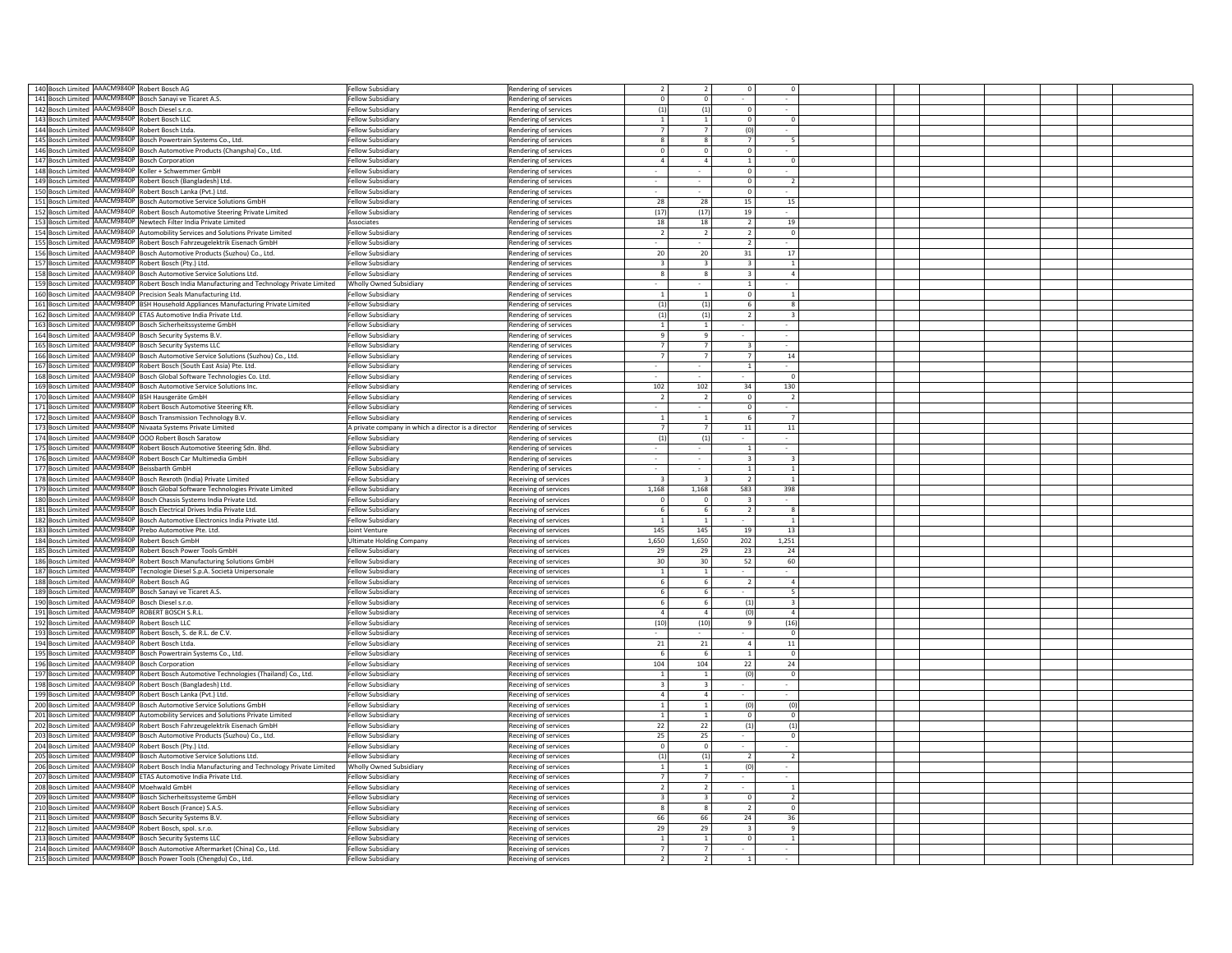| 140 Bosch Limited AAACM9840P Robert Bosch AG                  |                                                                                                                      |                                                     |                                                |                         |                          |                         |                |  |  |  |
|---------------------------------------------------------------|----------------------------------------------------------------------------------------------------------------------|-----------------------------------------------------|------------------------------------------------|-------------------------|--------------------------|-------------------------|----------------|--|--|--|
|                                                               |                                                                                                                      | Fellow Subsidiary                                   | Rendering of services                          |                         |                          |                         |                |  |  |  |
| 141 Bosch Limited AAACM9840P Bosch Sanayi ve Ticaret A.S.     |                                                                                                                      | Fellow Subsidiary                                   | Rendering of services                          | $\Omega$                | $\Omega$                 |                         |                |  |  |  |
| 142 Bosch Limited AAACM9840P                                  | Bosch Diesel s.r.o.                                                                                                  | Fellow Subsidiary                                   | Rendering of services                          | (1)                     | (1)                      | $\Omega$                |                |  |  |  |
| 143 Bosch Limited AAACM9840P                                  | Robert Bosch LLC                                                                                                     | Fellow Subsidiary                                   |                                                | $\overline{1}$          | $\overline{1}$           | $\Omega$                | $\Omega$       |  |  |  |
|                                                               |                                                                                                                      |                                                     | Rendering of services                          |                         |                          |                         |                |  |  |  |
| 144 Bosch Limited AAACM9840P                                  | Robert Bosch Itda                                                                                                    | Fellow Subsidiary                                   | Rendering of services                          | $\overline{7}$          | $\overline{7}$           | (0)                     |                |  |  |  |
| 145 Bosch Limited AAACM9840P                                  | Bosch Powertrain Systems Co., Ltd.                                                                                   | Fellow Subsidiary                                   | Rendering of services                          | $\overline{\mathbf{8}}$ | $\mathbf{g}$             | 7                       | 5              |  |  |  |
|                                                               |                                                                                                                      |                                                     |                                                | $\Omega$                |                          | $\Omega$                |                |  |  |  |
| 146 Bosch Limited AAACM9840P                                  | Bosch Automotive Products (Changsha) Co., Ltd.                                                                       | <b>Fellow Subsidiary</b>                            | Rendering of services                          |                         | $\Omega$                 |                         |                |  |  |  |
| 147 Bosch Limited AAACM9840P                                  | <b>Bosch Corporation</b>                                                                                             | Fellow Subsidiary                                   | Rendering of services                          | $\overline{4}$          |                          | $\mathbf{1}$            | $\mathbf 0$    |  |  |  |
| 148 Bosch Limited AAACM9840P                                  | Koller + Schwemmer GmbH                                                                                              | Fellow Subsidiary                                   |                                                |                         |                          | $\mathbf 0$             |                |  |  |  |
|                                                               |                                                                                                                      |                                                     | Rendering of services                          |                         |                          |                         |                |  |  |  |
| 149 Bosch Limited AAACM9840P                                  | Robert Bosch (Bangladesh) Ltd.                                                                                       | Fellow Subsidiary                                   | Rendering of services                          |                         |                          | $\mathbf 0$             | $\overline{2}$ |  |  |  |
| 150 Bosch Limited AAACM9840P Robert Bosch Lanka (Pvt.) Ltd.   |                                                                                                                      | Fellow Subsidiary                                   | Rendering of services                          |                         |                          | $\mathbf 0$             |                |  |  |  |
|                                                               |                                                                                                                      |                                                     |                                                |                         |                          |                         |                |  |  |  |
|                                                               | 151 Bosch Limited AAACM9840P Bosch Automotive Service Solutions GmbH                                                 | <b>Fellow Subsidiary</b>                            | Rendering of services                          | 28                      | 28                       | 15                      | 15             |  |  |  |
|                                                               | 152 Bosch Limited AAACM9840P Robert Bosch Automotive Steering Private Limited                                        | <b>Fellow Subsidiary</b>                            | Rendering of services                          | (17)                    | (17)                     | 19                      |                |  |  |  |
|                                                               |                                                                                                                      |                                                     |                                                |                         |                          |                         |                |  |  |  |
| 153 Bosch Limited AAACM9840P                                  | Newtech Filter India Private Limited                                                                                 | Associates                                          | Rendering of services                          | 18                      | 18                       | 2                       | 19             |  |  |  |
| 154 Bosch Limited AAACM9840P                                  | Automobility Services and Solutions Private Limited                                                                  | Fellow Subsidiary                                   | Rendering of services                          | $\overline{2}$          | $\overline{2}$           | $\overline{2}$          | $\Omega$       |  |  |  |
| 155 Bosch Limited AAACM9840P                                  |                                                                                                                      | Fellow Subsidiary                                   |                                                | $\sim$                  |                          | 2                       |                |  |  |  |
|                                                               | Robert Bosch Fahrzeugelektrik Eisenach GmbH                                                                          |                                                     | Rendering of services                          |                         |                          |                         |                |  |  |  |
| 156 Bosch Limited AAACM9840P                                  | Bosch Automotive Products (Suzhou) Co., Ltd.                                                                         | Fellow Subsidiary                                   | <b>Rendering of services</b>                   | 20                      | 20                       | 31                      | 17             |  |  |  |
| 157 Bosch Limited AAACM9840P                                  | Robert Bosch (Ptv.) Ltd.                                                                                             | Fellow Subsidiary                                   | Rendering of services                          | $\overline{3}$          | $\overline{\mathbf{3}}$  | $\overline{3}$          | $\overline{1}$ |  |  |  |
|                                                               |                                                                                                                      |                                                     |                                                |                         |                          |                         |                |  |  |  |
| 158 Bosch Limited AAACM9840P                                  | Bosch Automotive Service Solutions Ltd.                                                                              | Fellow Subsidiary                                   | Rendering of services                          | -8                      | -8                       | $\overline{\mathbf{3}}$ | $\overline{4}$ |  |  |  |
| 159 Bosch Limited AAACM9840P                                  | Robert Bosch India Manufacturing and Technology Private Limited                                                      | Wholly Owned Subsidiary                             | <b>Rendering of services</b>                   |                         |                          | $\mathbf{1}$            |                |  |  |  |
| 160 Bosch Limited AAACM9840P                                  |                                                                                                                      |                                                     |                                                |                         |                          | $\mathbf 0$             |                |  |  |  |
|                                                               | recision Seals Manufacturing Ltd.                                                                                    | Fellow Subsidiary                                   | endering of services                           |                         | 1                        |                         | 1              |  |  |  |
| 161 Bosch Limited AAACM9840P                                  | SH Household Appliances Manufacturing Private Limited                                                                | <b>Fellow Subsidiary</b>                            | endering of services                           | (1)                     | (1)                      | 6                       | 8              |  |  |  |
| 162 Bosch Limited AAACM9840P                                  | TAS Automotive India Private Ltd.                                                                                    | <b>Fellow Subsidiary</b>                            | Rendering of services                          | (1)                     | (1)                      |                         |                |  |  |  |
|                                                               |                                                                                                                      |                                                     |                                                |                         |                          |                         |                |  |  |  |
| 163 Bosch Limited AAACM9840P                                  | Bosch Sicherheitssysteme GmbH                                                                                        | Fellow Subsidiary                                   | Rendering of services                          |                         | $\mathbf{1}$             |                         |                |  |  |  |
| 164 Bosch Limited AAACM9840P                                  | Bosch Security Systems B.V.                                                                                          | <b>Fellow Subsidiary</b>                            | Rendering of services                          | 9                       | 9                        |                         |                |  |  |  |
| 165 Bosch Limited AAACM9840P                                  |                                                                                                                      | Fellow Subsidiary                                   |                                                |                         |                          | $\overline{\mathbf{a}}$ |                |  |  |  |
|                                                               | Bosch Security Systems LLC                                                                                           |                                                     | Rendering of services                          |                         |                          |                         |                |  |  |  |
| 166 Bosch Limited AAACM9840P                                  | Bosch Automotive Service Solutions (Suzhou) Co., Ltd.                                                                | Fellow Subsidiary                                   | Rendering of services                          |                         |                          | $\overline{7}$          | $14\,$         |  |  |  |
| 167 Bosch Limited AAACM9840P                                  |                                                                                                                      | <b>Fellow Subsidiary</b>                            |                                                |                         |                          | $\overline{1}$          |                |  |  |  |
|                                                               | Robert Bosch (South East Asia) Pte. Ltd.                                                                             |                                                     | Rendering of services                          |                         |                          |                         |                |  |  |  |
| 168 Bosch Limited AAACM9840P                                  | Bosch Global Software Technologies Co. Ltd.                                                                          | <b>Fellow Subsidiary</b>                            | Rendering of services                          |                         |                          |                         | $\Omega$       |  |  |  |
| 169 Bosch Limited AAACM9840P                                  | Bosch Automotive Service Solutions Inc.                                                                              | Fellow Subsidiary                                   | Rendering of services                          | 102                     | 102                      | 34                      | 130            |  |  |  |
|                                                               |                                                                                                                      |                                                     |                                                |                         |                          |                         |                |  |  |  |
| 170 Bosch Limited AAACM9840P                                  | <b>BSH Hausgeräte GmbH</b>                                                                                           | Fellow Subsidiary                                   | Rendering of services                          | $\overline{2}$          | $\overline{2}$           | $\overline{0}$          | $\overline{2}$ |  |  |  |
| 171 Bosch Limited AAACM9840P                                  | Robert Bosch Automotive Steering Kft.                                                                                | Fellow Subsidiary                                   | Rendering of services                          |                         |                          | $\Omega$                |                |  |  |  |
| 172 Bosch Limited AAACM9840P                                  | Bosch Transmission Technology B.V.                                                                                   | Fellow Subsidian                                    | Rendering of services                          | $\mathbf{1}$            | $\overline{1}$           | 6                       | $\overline{7}$ |  |  |  |
|                                                               |                                                                                                                      |                                                     |                                                |                         |                          |                         |                |  |  |  |
| 173 Bosch Limited AAACM9840P                                  | Nivaata Systems Private Limited                                                                                      | A private company in which a director is a director | Rendering of services                          | $\overline{7}$          | $\overline{7}$           | $11\,$                  | 11             |  |  |  |
| 174 Bosch Limited AAACM9840P                                  | <b>OOO Robert Bosch Saratow</b>                                                                                      | <b>Fellow Subsidiary</b>                            | Rendering of services                          | (1)                     | (1)                      |                         |                |  |  |  |
|                                                               |                                                                                                                      |                                                     |                                                |                         |                          |                         |                |  |  |  |
| 175 Bosch Limited AAACM9840P                                  | Robert Bosch Automotive Steering Sdn. Bhd.                                                                           | Fellow Subsidiary                                   | Rendering of services                          |                         |                          | $\mathbf{1}$            |                |  |  |  |
| 176 Bosch Limited AAACM9840P                                  | Robert Bosch Car Multimedia GmbH                                                                                     | Fellow Subsidiary                                   | Rendering of services                          |                         |                          | $\overline{3}$          | 3              |  |  |  |
|                                                               |                                                                                                                      |                                                     |                                                |                         |                          |                         |                |  |  |  |
|                                                               |                                                                                                                      |                                                     |                                                |                         |                          |                         |                |  |  |  |
| 177 Bosch Limited AAACM9840P                                  | Beissbarth GmbH                                                                                                      | Fellow Subsidiary                                   | Rendering of services                          |                         |                          | $\mathbf{1}$            | $\mathbf{1}$   |  |  |  |
|                                                               |                                                                                                                      |                                                     |                                                | $\mathbf{R}$            | $\overline{\mathbf{a}}$  | $\overline{2}$          | $\mathbf{1}$   |  |  |  |
| 178 Bosch Limited AAACM9840P                                  | Bosch Rexroth (India) Private Limited                                                                                | <b>Fellow Subsidiary</b>                            | Receiving of services                          |                         |                          |                         |                |  |  |  |
| 179 Bosch Limited AAACM9840P                                  | Bosch Global Software Technologies Private Limited                                                                   | Fellow Subsidiary                                   | Receiving of services                          | 1,168                   | 1,168                    | 583                     | 398            |  |  |  |
| 180 Bosch Limited AAACM9840P                                  | Bosch Chassis Systems India Private Ltd.                                                                             | Fellow Subsidiary                                   | Receiving of services                          | $\Omega$                | $\Omega$                 | 3                       |                |  |  |  |
|                                                               |                                                                                                                      |                                                     |                                                |                         |                          |                         |                |  |  |  |
| 181 Bosch Limited AAACM9840P                                  | Bosch Electrical Drives India Private Ltd.                                                                           | Fellow Subsidiary                                   | Receiving of services                          | 6                       | 6                        | $\overline{2}$          | $\mathbf{R}$   |  |  |  |
| 182 Bosch Limited AAACM9840P                                  | Bosch Automotive Electronics India Private Ltd.                                                                      | <b>Fellow Subsidiary</b>                            | Receiving of services                          | <sup>1</sup>            | $\overline{1}$           |                         | $\overline{1}$ |  |  |  |
|                                                               | Prebo Automotive Pte, Ltd.                                                                                           | Joint Venture                                       |                                                |                         |                          |                         |                |  |  |  |
| 183 Bosch Limited AAACM9840P                                  |                                                                                                                      |                                                     | Receiving of services                          | 145                     | 145                      | 19                      | 13             |  |  |  |
| 184 Bosch Limited AAACM9840P                                  | Robert Bosch GmbH                                                                                                    | <b>Ultimate Holding Company</b>                     | Receiving of services                          | 1,650                   | 1,650                    | 202                     | 1,251          |  |  |  |
| 185 Bosch Limited AAACM9840P                                  | Robert Bosch Power Tools GmbH                                                                                        | <b>Fellow Subsidiary</b>                            | Receiving of services                          | 29                      | 29                       | 23                      | 24             |  |  |  |
|                                                               |                                                                                                                      |                                                     |                                                |                         |                          |                         |                |  |  |  |
| AAACM9840F<br>186 Bosch Limited                               | Robert Bosch Manufacturing Solutions GmbH                                                                            | <b>Fellow Subsidiary</b>                            | eceiving of services                           | 30                      | 30                       | 52                      | 60             |  |  |  |
| AAACM9840F<br>187 Bosch Limited                               | ecnologie Diesel S.p.A. Società Unipersonale                                                                         | Fellow Subsidiary                                   | eceiving of services                           |                         | $\overline{1}$           |                         |                |  |  |  |
|                                                               | obert Bosch AG                                                                                                       | Fellow Subsidiary                                   |                                                |                         |                          |                         | $\overline{a}$ |  |  |  |
| 188 Bosch Limited AAACM9840P                                  |                                                                                                                      |                                                     | eceiving of services                           |                         |                          |                         |                |  |  |  |
| 189 Bosch Limited AAACM9840P                                  | osch Sanavi ve Ticaret A.S.                                                                                          | Fellow Subsidiary                                   | Receiving of services                          | 6                       | 6                        |                         | 5              |  |  |  |
| 190 Bosch Limited AAACM9840P                                  | Bosch Diesel s.r.o.                                                                                                  | <b>Fellow Subsidiary</b>                            | Receiving of services                          |                         | 6                        | (1)                     | 3              |  |  |  |
|                                                               |                                                                                                                      |                                                     |                                                | $\Delta$                | $\Delta$                 |                         | $\overline{a}$ |  |  |  |
| 191 Bosch Limited AAACM9840P                                  | ROBERT BOSCH S.R.L                                                                                                   | Fellow Subsidiary                                   | Receiving of services                          |                         |                          | (0)                     |                |  |  |  |
| 192 Bosch Limited AAACM9840P                                  | Robert Bosch LLC                                                                                                     | <b>Fellow Subsidiary</b>                            | Receiving of services                          | (10)                    | (10)                     | $\mathsf q$             | (16)           |  |  |  |
| 193 Bosch Limited AAACM9840P Robert Bosch, S. de R.L. de C.V. |                                                                                                                      | Fellow Subsidiary                                   | Receiving of services                          |                         |                          |                         | $\Omega$       |  |  |  |
|                                                               |                                                                                                                      |                                                     |                                                |                         |                          |                         |                |  |  |  |
| 194 Bosch Limited AAACM9840P                                  | Robert Bosch Ltda.                                                                                                   | Fellow Subsidiary                                   | Receiving of services                          | 21                      | 21                       | $\overline{a}$          | 11             |  |  |  |
| 195 Bosch Limited AAACM9840P                                  | Bosch Powertrain Systems Co., Ltd.                                                                                   | Fellow Subsidiary                                   | Receiving of services                          | - 6                     | 6                        | $\overline{1}$          | $\overline{0}$ |  |  |  |
|                                                               | Bosch Corporation                                                                                                    | Fellow Subsidiary                                   | Receiving of services                          | 104                     | 104                      | 22                      | 24             |  |  |  |
| 196 Bosch Limited AAACM9840P                                  |                                                                                                                      |                                                     |                                                |                         |                          |                         |                |  |  |  |
| 197 Bosch Limited AAACM9840P                                  | Robert Bosch Automotive Technologies (Thailand) Co., Ltd.                                                            | <b>Fellow Subsidiary</b>                            | Receiving of services                          | $\overline{1}$          | $\overline{1}$           | $\overline{0}$          | $\bullet$      |  |  |  |
| 198 Bosch Limited AAACM9840P                                  | Robert Bosch (Bangladesh) Ltd.                                                                                       | <b>Fellow Subsidiary</b>                            | Receiving of services                          | $\overline{3}$          |                          |                         |                |  |  |  |
|                                                               |                                                                                                                      |                                                     |                                                | $\overline{4}$          |                          |                         |                |  |  |  |
| 199 Bosch Limited AAACM9840P                                  | Robert Bosch Lanka (Pvt.) Ltd.                                                                                       | <b>Fellow Subsidiary</b>                            | Receiving of services                          |                         |                          |                         |                |  |  |  |
|                                                               | 200 Bosch Limited  AAACM9840P  Bosch Automotive Service Solutions GmbH                                               | Fellow Subsidiary                                   | Receiving of services                          | $\mathbf{1}$            |                          | (0)                     | $\overline{0}$ |  |  |  |
| 201 Bosch Limited AAACM9840P                                  |                                                                                                                      | Fellow Subsidiary                                   |                                                | $\mathbf{1}$            | $\mathbf{1}$             | $\mathbf 0$             | $\mathbf{0}$   |  |  |  |
|                                                               | Automobility Services and Solutions Private Limited                                                                  |                                                     | Receiving of services                          |                         |                          |                         |                |  |  |  |
| 202 Bosch Limited AAACM9840P                                  | Robert Bosch Fahrzeugelektrik Eisenach GmbH                                                                          | Fellow Subsidiary                                   | Receiving of services                          | 22                      | 22                       | (1)                     | (1)            |  |  |  |
|                                                               | 203 Bosch Limited AAACM9840P Bosch Automotive Products (Suzhou) Co., Ltd.                                            | <b>Fellow Subsidiary</b>                            | Receiving of services                          | 25                      | 25                       |                         | $\mathbf{0}$   |  |  |  |
|                                                               |                                                                                                                      |                                                     |                                                |                         |                          |                         |                |  |  |  |
| 204 Bosch Limited AAACM9840P Robert Bosch (Pty.) Ltd.         |                                                                                                                      | <b>Fellow Subsidiary</b>                            | Receiving of services                          | $^{\circ}$              | $\Omega$                 |                         |                |  |  |  |
| 205 Bosch Limited AAACM9840P                                  | Bosch Automotive Service Solutions Ltd.                                                                              | Fellow Subsidiary                                   | Receiving of services                          | (1)                     | (1)                      | 2                       | $\overline{2}$ |  |  |  |
| 206 Bosch Limited AAACM9840P                                  |                                                                                                                      | Wholly Owned Subsidiary                             |                                                | $\mathbf{1}$            | <sup>1</sup>             | (0)                     |                |  |  |  |
|                                                               | Robert Bosch India Manufacturing and Technology Private Limited                                                      |                                                     | Receiving of services                          |                         |                          |                         |                |  |  |  |
| 207 Bosch Limited AAACM9840P                                  | ETAS Automotive India Private Ltd.                                                                                   | <b>Fellow Subsidiary</b>                            | Receiving of services                          | $7\overline{ }$         | $\overline{7}$           |                         |                |  |  |  |
| 208 Bosch Limited AAACM9840P                                  | <b>Moehwald GmbH</b>                                                                                                 | Fellow Subsidiary                                   | Receiving of services                          | 2                       | $\overline{2}$           | $\sim$                  | 1              |  |  |  |
|                                                               |                                                                                                                      |                                                     |                                                |                         |                          |                         |                |  |  |  |
| 209 Bosch Limited AAACM9840P                                  | Bosch Sicherheitssysteme GmbH                                                                                        | Fellow Subsidiary                                   | Receiving of services                          | $\overline{3}$          | $\mathbf{3}$             | $\Omega$                | $\overline{2}$ |  |  |  |
| 210 Bosch Limited AAACM9840P                                  | Robert Bosch (France) S.A.S.                                                                                         | Fellow Subsidiary                                   | Receiving of services                          | -8                      | -8                       | $\overline{2}$          | $^{\circ}$     |  |  |  |
|                                                               | Bosch Security Systems B.V.                                                                                          | Fellow Subsidiary                                   | Receiving of services                          |                         |                          |                         |                |  |  |  |
| 211 Bosch Limited AAACM9840P                                  |                                                                                                                      |                                                     |                                                | 66                      | 66                       | 24                      | 36             |  |  |  |
| 212 Bosch Limited AAACM9840P                                  | obert Bosch, spol. s.r.o.                                                                                            | Fellow Subsidiary                                   | Receiving of services                          | 29                      | 29                       | $\overline{3}$          | $\mathbf{q}$   |  |  |  |
| 213 Bosch Limited AAACM9840P                                  | osch Security Systems LLC                                                                                            | Fellow Subsidiary                                   |                                                | 1                       | $\mathbf{1}$             | $\circ$                 | $\mathbf{1}$   |  |  |  |
|                                                               |                                                                                                                      |                                                     | Receiving of services                          |                         |                          |                         |                |  |  |  |
| 214 Bosch Limited AAACM9840P                                  | Bosch Automotive Aftermarket (China) Co., Ltd.<br>215 Bosch Limited AAACM9840P Bosch Power Tools (Chengdu) Co., Ltd. | <b>Fellow Subsidiary</b><br>Fellow Subsidiary       | Receiving of services<br>Receiving of services | $\overline{2}$          | $\overline{\phantom{a}}$ |                         |                |  |  |  |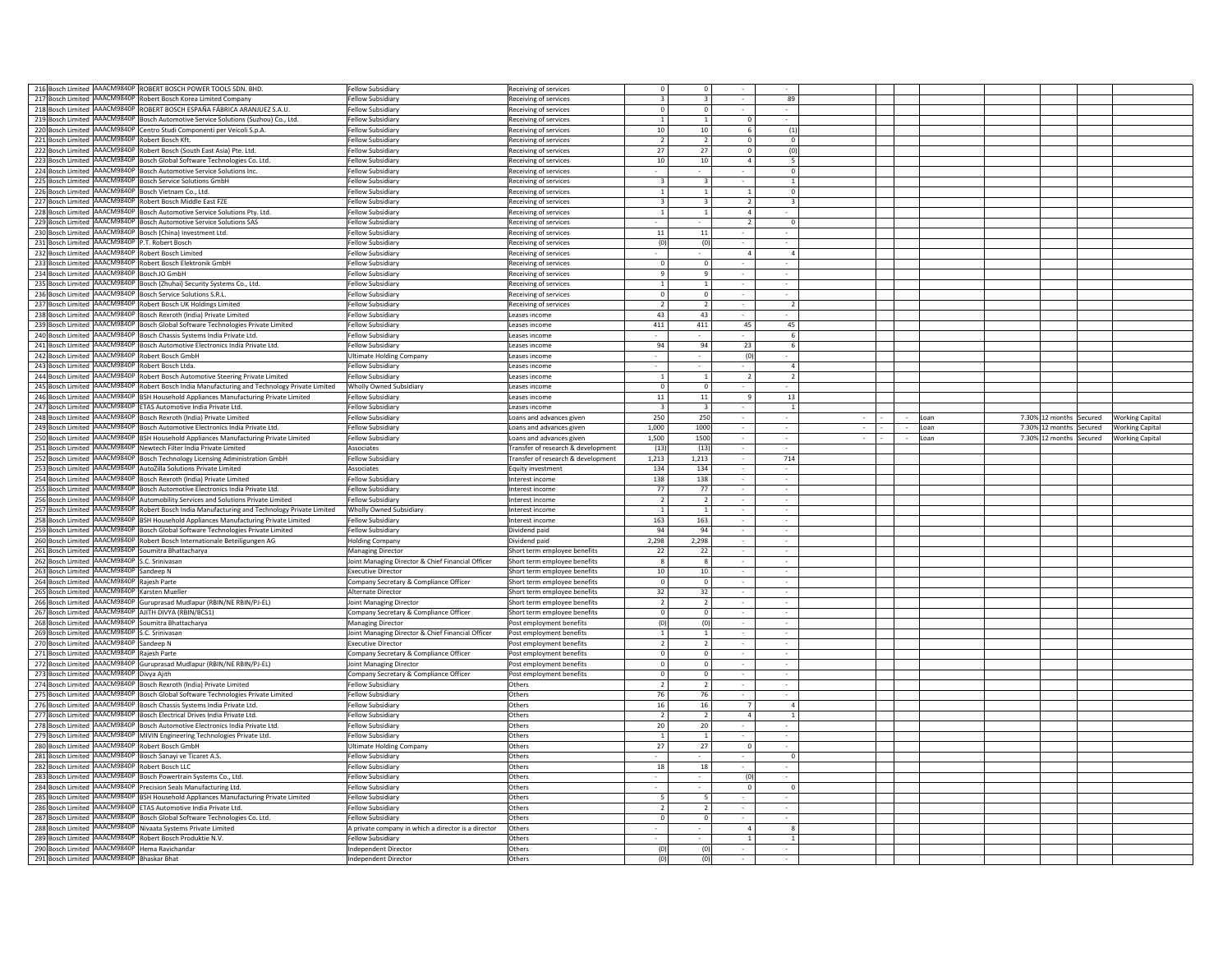| 216 Bosch Limited AAACM9840P ROBERT BOSCH POWER TOOLS SDN. BHD.                              | ellow Subsidiary                                    | Receiving of services                       |                         |                |                          |  |      |                                         |                        |
|----------------------------------------------------------------------------------------------|-----------------------------------------------------|---------------------------------------------|-------------------------|----------------|--------------------------|--|------|-----------------------------------------|------------------------|
| 217 Bosch Limited AAACM9840P Robert Bosch Korea Limited Company                              | ellow Subsidiary                                    | Receiving of services                       |                         |                | 89                       |  |      |                                         |                        |
| 218 Bosch Limited AAACM9840P ROBERT BOSCH ESPAÑA FÁBRICA ARANJUEZ S.A.U.                     | ellow Subsidiary                                    | $\circ$<br>Receiving of services            | $\overline{0}$          |                |                          |  |      |                                         |                        |
| 219 Bosch Limited AAACM9840P Bosch Automotive Service Solutions (Suzhou) Co., Ltd.           | ellow Subsidiary                                    | Receiving of services<br>$\overline{1}$     | $\overline{1}$          | $\Omega$       |                          |  |      |                                         |                        |
| 220 Bosch Limited AAACM9840P Centro Studi Componenti per Veicoli S.p.A.                      | Fellow Subsidiary                                   | 10 <sup>1</sup>                             | 10 <sup>1</sup>         | -6.            | (1)                      |  |      |                                         |                        |
| 221 Bosch Limited AAACM9840P Robert Bosch Kft.                                               |                                                     | Receiving of services                       |                         |                |                          |  |      |                                         |                        |
|                                                                                              | Fellow Subsidiary                                   | $\overline{2}$<br>Receiving of services     | $\overline{2}$          | $\Omega$       | $\Omega$                 |  |      |                                         |                        |
| 222 Bosch Limited AAACM9840P Robert Bosch (South East Asia) Pte. Ltd.                        | Fellow Subsidiary                                   | 27<br>Receiving of services                 | 27                      | $\Omega$       | (0)                      |  |      |                                         |                        |
| 223 Bosch Limited AAACM9840P Bosch Global Software Technologies Co. Ltd.                     | Fellow Subsidiary                                   | 10<br>Receiving of services                 | 10 <sup>10</sup>        | $\overline{a}$ | 5                        |  |      |                                         |                        |
| 224 Bosch Limited AAACM9840P Bosch Automotive Service Solutions Inc.                         | Fellow Subsidiary                                   | Receiving of services                       |                         |                | $\Omega$                 |  |      |                                         |                        |
| 225 Bosch Limited AAACM9840P Bosch Service Solutions GmbH                                    |                                                     | $\overline{3}$                              | $\overline{3}$          |                | $\overline{1}$           |  |      |                                         |                        |
|                                                                                              | Fellow Subsidian                                    | Receiving of services                       |                         |                |                          |  |      |                                         |                        |
| 226 Bosch Limited AAACM9840P Bosch Vietnam Co., Ltd.                                         | ellow Subsidian                                     | Receiving of services<br>$\mathbf{1}$       | $\mathbf{1}$            | $\mathbf{1}$   | $\mathbf 0$              |  |      |                                         |                        |
| AAACM9840P Robert Bosch Middle East FZE<br>227 Bosch Limited                                 | ellow Subsidian                                     | Receiving of services<br>3                  | $\overline{\mathbf{3}}$ | $\overline{2}$ |                          |  |      |                                         |                        |
| 228 Bosch Limited AAACM9840P Bosch Automotive Service Solutions Pty. Ltd.                    | Fellow Subsidiary                                   | Receiving of services<br>$\mathbf{1}$       | $\mathbf{1}$            | $\overline{4}$ |                          |  |      |                                         |                        |
|                                                                                              |                                                     |                                             |                         |                |                          |  |      |                                         |                        |
| 229 Bosch Limited AAACM9840P Bosch Automotive Service Solutions SAS                          | Fellow Subsidiary                                   | Receiving of services                       |                         | $\overline{2}$ | $\mathbf 0$              |  |      |                                         |                        |
| 230 Bosch Limited AAACM9840P Bosch (China) Investment Ltd.                                   | Fellow Subsidian                                    | 11<br>Receiving of services                 | $11\,$                  |                |                          |  |      |                                         |                        |
| 231 Bosch Limited AAACM9840P P.T. Robert Bosch                                               | Fellow Subsidiary                                   | Receiving of services<br>(0)                | (0)                     |                |                          |  |      |                                         |                        |
| 232 Bosch Limited AAACM9840P Robert Bosch Limited                                            | Fellow Subsidiary                                   | Receiving of services                       |                         | $\overline{a}$ | $\Delta$                 |  |      |                                         |                        |
| 233 Bosch Limited AAACM9840P Robert Bosch Elektronik GmbH                                    | Fellow Subsidiary                                   | $\Omega$                                    | $\Omega$                | $\sim$         |                          |  |      |                                         |                        |
|                                                                                              |                                                     | Receiving of services                       |                         |                |                          |  |      |                                         |                        |
| 234 Bosch Limited AAACM9840P Bosch.IO GmbH                                                   | Fellow Subsidiary                                   | Receiving of services<br>$\mathbf{q}$       | $\mathbf{q}$            | $\sim$         |                          |  |      |                                         |                        |
| AAACM9840P Bosch (Zhuhai) Security Systems Co., Ltd.<br>235 Bosch Limited                    | Fellow Subsidiary                                   | Receiving of services<br><sup>1</sup>       | <sup>1</sup>            | $\sim$         |                          |  |      |                                         |                        |
| AAACM9840P Bosch Service Solutions S.R.L<br>236 Bosch Limited                                | Fellow Subsidiary                                   | Receiving of services<br>$\mathbf{0}$       | $\overline{0}$          | $\sim$         |                          |  |      |                                         |                        |
| AAACM9840P Robert Bosch UK Holdings Limited<br>237 Bosch Limited                             | Fellow Subsidiary                                   | Receiving of services<br>$\overline{2}$     | $\overline{2}$          |                |                          |  |      |                                         |                        |
|                                                                                              |                                                     |                                             |                         | $\sim$         |                          |  |      |                                         |                        |
| AAACM9840P Bosch Rexroth (India) Private Limited<br>238 Bosch Limited                        | Fellow Subsidiary                                   | 43<br>Leases income                         | 43                      |                |                          |  |      |                                         |                        |
| AAACM9840P Bosch Global Software Technologies Private Limited<br>239 Bosch Limited           | ellow Subsidiary                                    | 411<br>eases income                         | 411                     | 45             | 45                       |  |      |                                         |                        |
| AAACM9840P Bosch Chassis Systems India Private Ltd.<br>240 Bosch Limited                     | ellow Subsidiary                                    | Leases income                               |                         |                | 6                        |  |      |                                         |                        |
| 241 Bosch Limited<br>AAACM9840P Bosch Automotive Electronics India Private Ltd.              | ellow Subsidiary                                    | 94<br>eases income                          | 94                      | 23             | 6                        |  |      |                                         |                        |
|                                                                                              |                                                     |                                             |                         |                |                          |  |      |                                         |                        |
| AAACM9840P Robert Bosch GmbH<br>242 Bosch Limited                                            | <b>Jltimate Holding Company</b>                     | eases income                                |                         | (0)            |                          |  |      |                                         |                        |
| AAACM9840P Robert Bosch Ltda.<br>243 Bosch Limited                                           | ellow Subsidiary                                    | Leases income                               |                         |                | $\Delta$                 |  |      |                                         |                        |
| 244 Bosch Limited AAACM9840P Robert Bosch Automotive Steering Private Limited                | Fellow Subsidiary                                   | Leases income<br>$\overline{1}$             | $\overline{1}$          | $\overline{z}$ | $\overline{\phantom{a}}$ |  |      |                                         |                        |
| 245 Bosch Limited AAACM9840P Robert Bosch India Manufacturing and Technology Private Limited | Wholly Owned Subsidiary                             | $\Omega$<br>Leases income                   | $\Omega$                |                |                          |  |      |                                         |                        |
|                                                                                              |                                                     |                                             |                         | $\overline{9}$ |                          |  |      |                                         |                        |
| 246 Bosch Limited AAACM9840P BSH Household Appliances Manufacturing Private Limited          | Fellow Subsidiary                                   | 11<br>Leases income                         | 11                      |                | 13                       |  |      |                                         |                        |
| AAACM9840P ETAS Automotive India Private Ltd.<br>247 Bosch Limited                           | Fellow Subsidian                                    | $\overline{3}$<br>Leases income             | $\overline{3}$          |                | $\overline{1}$           |  |      |                                         |                        |
| AAACM9840P Bosch Rexroth (India) Private Limited<br>248 Bosch Limited                        | Fellow Subsidiary                                   | 250<br>Loans and advances given             | 250                     | $\sim$         |                          |  | Loan | 7.30% 12 months Secured Working Capital |                        |
| AAACM9840P Bosch Automotive Electronics India Private Ltd.<br>249 Bosch Limited              | Fellow Subsidian                                    | 1,000<br>Loans and advances given           | 1000                    | $\sim$         |                          |  | Loan | 7.30% 12 months Secured                 | <b>Working Capital</b> |
|                                                                                              |                                                     |                                             |                         |                |                          |  |      |                                         |                        |
| AAACM9840P BSH Household Appliances Manufacturing Private Limited<br>250 Bosch Limited       | Fellow Subsidiary                                   | 1,500<br>Loans and advances given           | 1500                    | $\sim$         |                          |  | Loan | 7.30% 12 months Secured                 | <b>Working Capital</b> |
| AAACM9840P Newtech Filter India Private Limited<br>251 Bosch Limited                         | Associates                                          | Transfer of research & development<br>(13)  | (13)                    | $\sim$         |                          |  |      |                                         |                        |
| AAACM9840P Bosch Technology Licensing Administration GmbH<br>252 Bosch Limited               | <b>Fellow Subsidiary</b>                            | Transfer of research & development<br>1,213 | 1,213                   | $\sim$         | 714                      |  |      |                                         |                        |
| AAACM9840P AutoZilla Solutions Private Limited<br>253 Bosch Limited                          | Associates                                          | 134<br><b>Equity investment</b>             | 134                     |                |                          |  |      |                                         |                        |
|                                                                                              |                                                     |                                             |                         |                |                          |  |      |                                         |                        |
|                                                                                              |                                                     |                                             |                         |                |                          |  |      |                                         |                        |
| AAACM9840P Bosch Rexroth (India) Private Limited<br>254 Bosch Limited                        | Fellow Subsidiary                                   | 138<br>Interest income                      | 138                     |                |                          |  |      |                                         |                        |
| AAACM9840P Bosch Automotive Electronics India Private Ltd.<br>255 Bosch Limited              | ellow Subsidian                                     | 77<br>Interest income                       | 77                      |                |                          |  |      |                                         |                        |
| 256 Bosch Limited AAACM9840P Automobility Services and Solutions Private Limited             | <b>Fellow Subsidiary</b>                            | Interest income<br><sup>2</sup>             | $\overline{2}$          |                |                          |  |      |                                         |                        |
|                                                                                              |                                                     |                                             | $\overline{1}$          | $\sim$         |                          |  |      |                                         |                        |
| 257 Bosch Limited AAACM9840P Robert Bosch India Manufacturing and Technology Private Limited | Wholly Owned Subsidiary                             | Interest income<br>$\overline{1}$           |                         |                |                          |  |      |                                         |                        |
| 258 Bosch Limited AAACM9840P BSH Household Appliances Manufacturing Private Limited          | <b>Fellow Subsidiary</b>                            | 163<br>Interest income                      | 163                     | $\sim$         |                          |  |      |                                         |                        |
| 259 Bosch Limited AAACM9840P Bosch Global Software Technologies Private Limited              | Fellow Subsidiary                                   | 94<br>Dividend paid                         | 94                      | $\sim$         |                          |  |      |                                         |                        |
| 260 Bosch Limited AAACM9840P Robert Bosch Internationale Beteiligungen AG                    | <b>Holding Company</b>                              | 2,298<br>Dividend paid                      | 2.298                   | $\sim$         |                          |  |      |                                         |                        |
|                                                                                              |                                                     | Short term emplovee benefits<br>22          | 22                      | $\sim$         | $\sim$                   |  |      |                                         |                        |
| 261 Bosch Limited AAACM9840P Soumitra Bhattacharya                                           | <b>Managing Director</b>                            |                                             |                         |                |                          |  |      |                                         |                        |
| AAACM9840P S.C. Srinivasan<br>262 Bosch Limited                                              | Joint Managing Director & Chief Financial Officer   | Short term employee benefits<br>-8          | 8                       | $\sim$         | $\sim$                   |  |      |                                         |                        |
| AAACM9840P Sandeep N<br>263 Bosch Limited                                                    | <b>Executive Director</b>                           | 10<br>Short term employee benefits          | 10                      | $\sim$         |                          |  |      |                                         |                        |
| AAACM9840P Rajesh Parte<br>264 Bosch Limited                                                 | Company Secretary & Compliance Officer              | Short term employee benefits<br>$\Omega$    | $\overline{\mathbf{0}}$ |                |                          |  |      |                                         |                        |
| AAACM9840P Karsten Mueller<br>265 Bosch Limited                                              | Alternate Director                                  | Short term employee benefits<br>32          | 32                      |                |                          |  |      |                                         |                        |
|                                                                                              |                                                     |                                             |                         |                |                          |  |      |                                         |                        |
| 266 Bosch Limited AAACM9840P Guruprasad Mudlapur (RBIN/NE RBIN/PJ-EL)                        | vint Managing Director                              | Short term emplovee benefits                | $\overline{2}$          |                |                          |  |      |                                         |                        |
| AAACM9840P AJITH DIVYA (RBIN/BCS1)<br>267 Bosch Limited                                      | ompany Secretary & Compliance Officer               | Short term employee benefits<br>$^{\circ}$  | $\overline{0}$          |                |                          |  |      |                                         |                        |
| 268 Bosch Limited<br>AAACM9840P Soumitra Bhattacharya                                        | Managing Director                                   | ost employment benefits<br>(0)              | (0)                     |                |                          |  |      |                                         |                        |
| 269 Bosch Limited AAACM9840P S.C. Srinivasan                                                 | oint Managing Director & Chief Financial Officer    | Post employment benefits<br>$\overline{1}$  | $\overline{1}$          |                |                          |  |      |                                         |                        |
|                                                                                              | <b>Executive Director</b>                           | $\overline{2}$                              | $\overline{2}$          |                |                          |  |      |                                         |                        |
| 270 Bosch Limited AAACM9840P Sandeep N                                                       |                                                     | ost employment benefits                     |                         |                |                          |  |      |                                         |                        |
| 271 Bosch Limited AAACM9840P Rajesh Parte                                                    | Company Secretary & Compliance Officer              | Post employment benefits<br>$\circ$         | $\Omega$                |                |                          |  |      |                                         |                        |
| 272 Bosch Limited AAACM9840P Guruprasad Mudlapur (RBIN/NE RBIN/PJ-EL)                        | Joint Managing Director                             | Post employment benefits<br>$\circ$         | $\Omega$                | $\sim$         |                          |  |      |                                         |                        |
| 273 Bosch Limited AAACM9840P Divya Ajith                                                     | Company Secretary & Compliance Officer              | $\circ$<br>Post employment benefits         | $\Omega$                |                |                          |  |      |                                         |                        |
| 274 Bosch Limited AAACM9840P Bosch Rexroth (India) Private Limited                           | Fellow Subsidian                                    | 2<br>Others                                 | $\overline{2}$          | $\sim$         |                          |  |      |                                         |                        |
| 275 Bosch Limited                                                                            | Fellow Subsidian                                    | Others                                      |                         |                |                          |  |      |                                         |                        |
| AAACM9840P Bosch Global Software Technologies Private Limited                                |                                                     | 76                                          | 76                      |                |                          |  |      |                                         |                        |
| AAACM9840P Bosch Chassis Systems India Private Ltd.<br>276 Bosch Limited                     | Fellow Subsidian                                    | Others<br>16                                | 16                      | $\overline{7}$ |                          |  |      |                                         |                        |
| AAACM9840P Bosch Electrical Drives India Private Ltd.<br>277 Bosch Limited                   | Fellow Subsidian                                    | Others<br>$\overline{2}$                    | $\overline{2}$          | $\overline{4}$ |                          |  |      |                                         |                        |
| 278 Bosch Limited AAACM9840P Bosch Automotive Electronics India Private Ltd.                 | Fellow Subsidian                                    | Others<br>20 <sup>1</sup>                   | 20                      |                |                          |  |      |                                         |                        |
| AAACM9840P MIVIN Engineering Technologies Private Ltd.<br>279 Bosch Limited                  | ellow Subsidian                                     | Others<br>$\mathbf{1}$                      | $\mathbf{1}$            |                |                          |  |      |                                         |                        |
|                                                                                              |                                                     |                                             |                         |                |                          |  |      |                                         |                        |
| AAACM9840P Robert Bosch GmbH<br>280 Bosch Limited                                            | <b>Ultimate Holding Company</b>                     | Others<br>27                                | 27                      | $\overline{0}$ |                          |  |      |                                         |                        |
| 281 Bosch Limited AAACM9840P Bosch Sanayi ve Ticaret A.S.                                    | Fellow Subsidiary                                   | Others                                      |                         |                | $\Omega$                 |  |      |                                         |                        |
| 282 Bosch Limited AAACM9840P Robert Bosch LLC                                                | Fellow Subsidiary                                   | Others<br>18                                | 18                      | $\sim$         |                          |  |      |                                         |                        |
| 283 Bosch Limited AAACM9840P Bosch Powertrain Systems Co., Ltd.                              | Fellow Subsidiary                                   | Others                                      |                         | (0)            |                          |  |      |                                         |                        |
|                                                                                              |                                                     | $\sim$                                      |                         | $\overline{0}$ | $\Omega$                 |  |      |                                         |                        |
| 284 Bosch Limited AAACM9840P Precision Seals Manufacturing Ltd.                              | Fellow Subsidiary                                   | Others                                      |                         |                |                          |  |      |                                         |                        |
| 285 Bosch Limited AAACM9840P BSH Household Appliances Manufacturing Private Limited          | Fellow Subsidiary                                   | Others<br>- 5                               | - 5                     |                |                          |  |      |                                         |                        |
| 286 Bosch Limited AAACM9840P ETAS Automotive India Private Ltd.                              | Fellow Subsidiary                                   | Others<br>$\overline{z}$                    | $\overline{2}$          | $\sim$         |                          |  |      |                                         |                        |
| AAACM9840P Bosch Global Software Technologies Co. Ltd.<br>287 Bosch Limited                  | ellow Subsidiary                                    | Others<br>$\Omega$                          | $\Omega$                | $\sim$         |                          |  |      |                                         |                        |
| 288 Bosch Limited                                                                            |                                                     | Others                                      |                         | $\overline{a}$ | $\mathbf{R}$             |  |      |                                         |                        |
| AAACM9840P Nivaata Systems Private Limited                                                   | A private company in which a director is a director |                                             |                         |                |                          |  |      |                                         |                        |
| 289 Bosch Limited AAACM9840P Robert Bosch Produktie N.V.                                     | ellow Subsidian                                     | Others                                      |                         | <sup>1</sup>   |                          |  |      |                                         |                        |
| 290 Bosch Limited AAACM9840P Hema Ravichandar<br>291 Bosch Limited AAACM9840P Bhaskar Bhat   | ndependent Director<br>ndependent Director          | Others<br>(0)<br>Others<br>(0)              | (0)<br>(0)              |                |                          |  |      |                                         |                        |